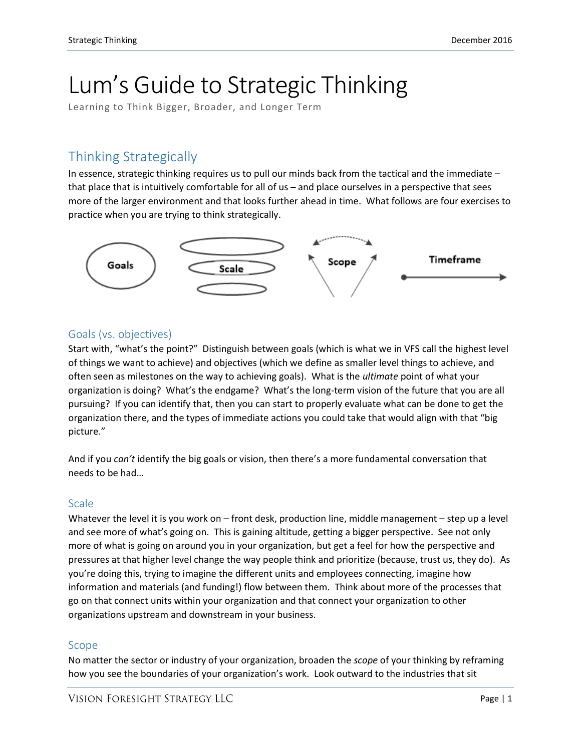# Lum's Guide to Strategic Thinking

Learning to Think Bigger, Broader, and Longer Term

# Thinking Strategically

In essence, strategic thinking requires us to pull our minds back from the tactical and the immediate – that place that is intuitively comfortable for all of us – and place ourselves in a perspective that sees more of the larger environment and that looks further ahead in time. What follows are four exercises to practice when you are trying to think strategically.



## Goals (vs. objectives)

Start with, "what's the point?" Distinguish between goals (which is what we in VFS call the highest level of things we want to achieve) and objectives (which we define as smaller level things to achieve, and often seen as milestones on the way to achieving goals). What is the *ultimate* point of what your organization is doing? What's the endgame? What's the long-term vision of the future that you are all pursuing? If you can identify that, then you can start to properly evaluate what can be done to get the organization there, and the types of immediate actions you could take that would align with that "big picture."

And if you *can't* identify the big goals or vision, then there's a more fundamental conversation that needs to be had…

## **Scale**

Whatever the level it is you work on – front desk, production line, middle management – step up a level and see more of what's going on. This is gaining altitude, getting a bigger perspective. See not only more of what is going on around you in your organization, but get a feel for how the perspective and pressures at that higher level change the way people think and prioritize (because, trust us, they do). As you're doing this, trying to imagine the different units and employees connecting, imagine how information and materials (and funding!) flow between them. Think about more of the processes that go on that connect units within your organization and that connect your organization to other organizations upstream and downstream in your business.

#### Scope

No matter the sector or industry of your organization, broaden the *scope* of your thinking by reframing how you see the boundaries of your organization's work. Look outward to the industries that sit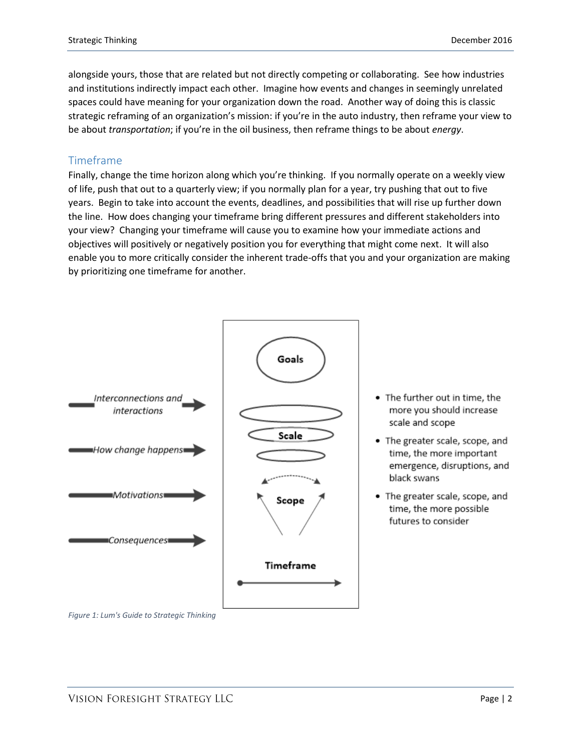alongside yours, those that are related but not directly competing or collaborating. See how industries and institutions indirectly impact each other. Imagine how events and changes in seemingly unrelated spaces could have meaning for your organization down the road. Another way of doing this is classic strategic reframing of an organization's mission: if you're in the auto industry, then reframe your view to be about *transportation*; if you're in the oil business, then reframe things to be about *energy*.

#### Timeframe

Finally, change the time horizon along which you're thinking. If you normally operate on a weekly view of life, push that out to a quarterly view; if you normally plan for a year, try pushing that out to five years. Begin to take into account the events, deadlines, and possibilities that will rise up further down the line. How does changing your timeframe bring different pressures and different stakeholders into your view? Changing your timeframe will cause you to examine how your immediate actions and objectives will positively or negatively position you for everything that might come next. It will also enable you to more critically consider the inherent trade-offs that you and your organization are making by prioritizing one timeframe for another.



- . The further out in time, the more you should increase scale and scope
- The greater scale, scope, and time, the more important emergence, disruptions, and black swans
- The greater scale, scope, and time, the more possible futures to consider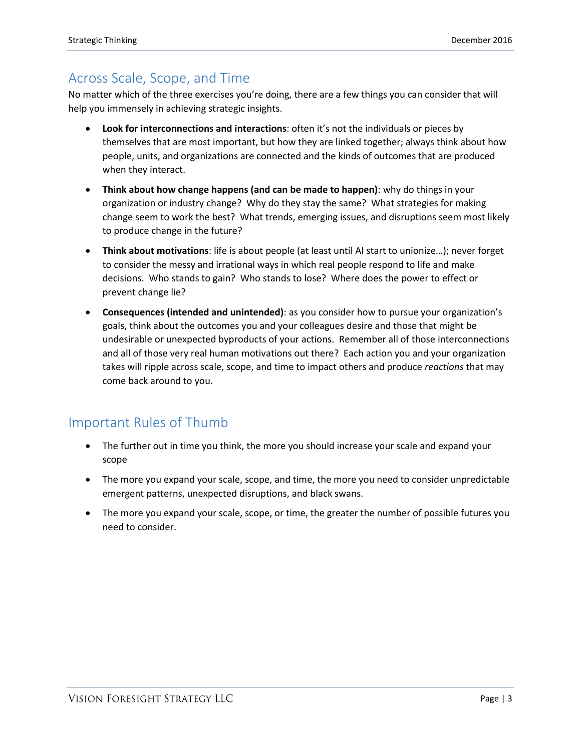# Across Scale, Scope, and Time

No matter which of the three exercises you're doing, there are a few things you can consider that will help you immensely in achieving strategic insights.

- **Look for interconnections and interactions**: often it's not the individuals or pieces by themselves that are most important, but how they are linked together; always think about how people, units, and organizations are connected and the kinds of outcomes that are produced when they interact.
- **Think about how change happens (and can be made to happen)**: why do things in your organization or industry change? Why do they stay the same? What strategies for making change seem to work the best? What trends, emerging issues, and disruptions seem most likely to produce change in the future?
- **Think about motivations**: life is about people (at least until AI start to unionize…); never forget to consider the messy and irrational ways in which real people respond to life and make decisions. Who stands to gain? Who stands to lose? Where does the power to effect or prevent change lie?
- **Consequences (intended and unintended)**: as you consider how to pursue your organization's goals, think about the outcomes you and your colleagues desire and those that might be undesirable or unexpected byproducts of your actions. Remember all of those interconnections and all of those very real human motivations out there? Each action you and your organization takes will ripple across scale, scope, and time to impact others and produce *reactions* that may come back around to you.

## Important Rules of Thumb

- The further out in time you think, the more you should increase your scale and expand your scope
- The more you expand your scale, scope, and time, the more you need to consider unpredictable emergent patterns, unexpected disruptions, and black swans.
- The more you expand your scale, scope, or time, the greater the number of possible futures you need to consider.